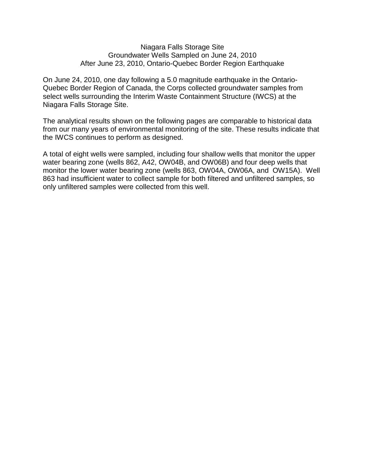### Niagara Falls Storage Site Groundwater Wells Sampled on June 24, 2010 After June 23, 2010, Ontario-Quebec Border Region Earthquake

On June 24, 2010, one day following a 5.0 magnitude earthquake in the Ontario-Quebec Border Region of Canada, the Corps collected groundwater samples from select wells surrounding the Interim Waste Containment Structure (IWCS) at the Niagara Falls Storage Site.

The analytical results shown on the following pages are comparable to historical data from our many years of environmental monitoring of the site. These results indicate that the IWCS continues to perform as designed.

A total of eight wells were sampled, including four shallow wells that monitor the upper water bearing zone (wells 862, A42, OW04B, and OW06B) and four deep wells that monitor the lower water bearing zone (wells 863, OW04A, OW06A, and OW15A). Well 863 had insufficient water to collect sample for both filtered and unfiltered samples, so only unfiltered samples were collected from this well.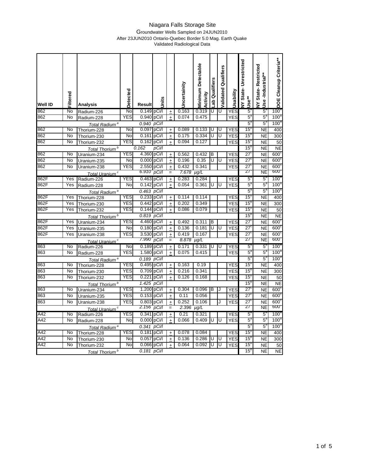## Groundwater Wells Sampled on 24JUN2010 After 23JUN2010 Ontario-Quebec Border 5.0 Mag. Earth Quake

Validated Radiological Data

| <b>Well ID</b>   | Filtered          | <b>Analysis</b>                          | <b>Detected</b> | Result               | hits           |                                  | Uncertainity   | <b>Minimum Detectable</b><br>Activity | ab Qualifiers | alidated Qualifiers | Usability  | <b>VY State-Unrestricted</b><br>Use**     | <b>VY State-Restricted</b><br>Use-Industrial** | DOE Cleanup Criteria**   |
|------------------|-------------------|------------------------------------------|-----------------|----------------------|----------------|----------------------------------|----------------|---------------------------------------|---------------|---------------------|------------|-------------------------------------------|------------------------------------------------|--------------------------|
| 862              | No                | Radium-226                               | No              | 0.149 pCi/l          |                | $\ddot{}$                        | 0.163          | 0.319                                 | U             | U                   | YES        | 5                                         | 51                                             | $100^\circ$              |
| 862              | No                | Radium-228                               | YES             | 0.940                | pCi/l          | $\ddot{}$                        | 0.074          | 0.475                                 |               |                     | YES        | $5^{\circ}$                               | $5^{\circ}$                                    | 100 <sup>5</sup>         |
|                  |                   | Total Radium <sup>a</sup>                |                 | 0.940                | pCi/l          |                                  |                |                                       |               |                     |            | $5^{\circ}$                               | $5^{\circ}$                                    | 100 <sup>a</sup>         |
| 862              | No                | Thorium-228                              | No              | 0.097                | pCi/l          | $\ddot{}$                        | 0.089          | 0.133                                 | U             | U                   | <b>YES</b> | $15$ <sup><math>t</math></sup>            | <b>NE</b>                                      | 400                      |
| 862              | No                | Thorium-230                              | No              | 0.161                | pCi/l          | $\ddot{}$                        | 0.175          | 0.334                                 | U             | U                   | <b>YES</b> | 15 <sup>5</sup>                           | <b>NE</b>                                      | 300                      |
| 862              | No                | Thorium-232                              | YES             | 0.162                | pCi/l          | $\ddot{}$                        | 0.094          | 0.127                                 |               |                     | <b>YES</b> | 15                                        | <b>NE</b>                                      | 50                       |
|                  |                   | Total Thorium <sup>b</sup>               |                 | 0.162                | pCi/l          |                                  |                |                                       |               |                     |            | 15 <sup>5</sup>                           | <b>NE</b>                                      | <b>NE</b>                |
| 862              | No                | Uranium-234                              | <b>YES</b>      | 4.360 pCi/l          |                | $\ddot{}$                        | 0.562          | 0.432                                 | B             |                     | <b>YES</b> | 27'                                       | <b>NE</b>                                      | 600 <sup>o</sup>         |
| 862              | No                | Uranium-235                              | No              | 0.000                | pCi/l          | $\begin{array}{c} + \end{array}$ | 0.196          | 0.35                                  | Ū             | U                   | <b>YES</b> | 27 <sup>6</sup>                           | <b>NE</b>                                      | 600 <sup>o</sup>         |
| 862              | $\overline{N}$    | Uranium-238                              | <b>YES</b>      | 2.550                | pCi/l          | $\ddot{}$                        | 0.432          | 0.341                                 |               |                     | <b>YES</b> | $\overline{27}$                           | <b>NE</b>                                      | 600 <sup>c</sup>         |
|                  |                   | Total Uranium <sup>c</sup>               |                 | 6.910                | pCi/l          | $=$                              | 7.678          | $\overline{\mu g/L}$                  |               |                     |            | 27                                        | <b>NE</b>                                      | <b>600.</b>              |
| 862F             | Yes               | Radium-226                               | <b>YES</b>      | 0.463                | pCi/l          | $\ddot{}$                        | 0.283          | 0.284                                 |               |                     | <b>YES</b> | $\overline{5}$                            | $5^{\circ}$                                    | 100 <sup>a</sup>         |
| 862F             | Yes               | Radium-228                               | No              | 0.142                | pCi/l          | $\ddot{}$                        | 0.054          | 0.361                                 | U             | U                   | <b>YES</b> | $5^{\circ}$                               | $5^{\circ}$                                    | 100 <sup>8</sup>         |
|                  |                   | Total Radium <sup>a</sup>                |                 | 0.463                | pCi/l          |                                  |                |                                       |               |                     |            | $5^{\circ}$                               | $5^{\circ}$                                    | 100 <sup>a</sup>         |
| 862F             | Yes               | Thorium-228                              | <b>YES</b>      | 0.233                | pCi/l          | $\begin{array}{c} + \end{array}$ | 0.114          | 0.114                                 |               |                     | <b>YES</b> | 15                                        | NE                                             | 400                      |
| 862F             | Yes               | Thorium-230                              | <b>YES</b>      | 0.442                | pCi/l          | $\ddot{}$                        | 0.202          | 0.349                                 |               |                     | <b>YES</b> | 15                                        | <b>NE</b>                                      | 300                      |
| 862F             | Yes               | Thorium-232                              | <b>YES</b>      | 0.144 pCi/l          |                | $\ddot{}$                        | 0.086          | 0.079                                 |               |                     | <b>YES</b> | 15                                        | <b>NE</b>                                      | 50                       |
|                  |                   | Total Thorium <sup>b</sup>               |                 | 0.819                | $p$ Ci/l       |                                  |                |                                       |               |                     |            | $15$ <sup><math>\overline{1}</math></sup> | NE                                             | <b>NE</b>                |
| 862F             | Yes               | Uranium-234                              | YES             | 4.460                | pCi/l          | $\ddot{}$                        | 0.492          | 0.311                                 | в             |                     | <b>YES</b> | 27                                        | NE                                             | $600^{\circ}$            |
| 862F             | $\overline{Y}$ es | Uranium-235                              | No              | 0.180                | pCi/l          | $\pm$                            | 0.136          | 0.181                                 | U             | U                   | <b>YES</b> | 27                                        | NE                                             | 600 <sup>6</sup>         |
| 862F             | Yes               | Uranium-238                              | YES             | 3.530 pCi/l<br>7.990 |                | $\ddot{}$                        | 0.419          | 0.167                                 |               |                     | <b>YES</b> | 27<br>27                                  | <b>NE</b><br>NE                                | 600 <sup>6</sup><br>600. |
|                  |                   | Total Uranium <sup>c</sup>               |                 |                      | pCi/l          |                                  | 8.878          | $\mu$ g/L                             |               |                     |            |                                           |                                                | 100 <sup>3</sup>         |
| 863<br>863       | No<br>No          | Radium-226                               | No<br>YES       | 0.189<br>1.580       | pCi/l          | $\begin{array}{c} + \end{array}$ | 0.171<br>0.075 | 0.331<br>0.415                        | U             | U                   | <b>YES</b> | 5<br>$5^{\circ}$                          | $5^{\circ}$<br>$5^{\circ}$                     | $100^{\circ}$            |
|                  |                   | Radium-228                               |                 | 0.189                | pCi/l<br>pCi/l | $\ddot{}$                        |                |                                       |               |                     | <b>YES</b> | $5^{\circ}$                               | $5^{\circ}$                                    | 100 <sup>a</sup>         |
| 863              | No                | Total Radium <sup>a</sup><br>Thorium-228 | <b>YES</b>      | 0.495                | pCi/l          |                                  | 0.163          | 0.19                                  |               |                     | <b>YES</b> | 15                                        | <b>NE</b>                                      | 400                      |
| 863              | No                | Thorium-230                              | <b>YES</b>      | 0.709                | pCi/l          | $\ddot{}$<br>$\ddot{}$           | 0.216          | 0.341                                 |               |                     | <b>YES</b> | 15                                        | <b>NE</b>                                      | 300                      |
| 863              | No                | Thorium-232                              | <b>YES</b>      | 0.221                | pCi/l          | $\ddot{}$                        | 0.126          | 0.168                                 |               |                     | <b>YES</b> | 15 <sup>1</sup>                           | <b>NE</b>                                      | 50                       |
|                  |                   | Total Thorium <sup>b</sup>               |                 | 1.425                | pCi/l          |                                  |                |                                       |               |                     |            | 15                                        | <b>NE</b>                                      | <b>NE</b>                |
| 863              | No                | Uranium-234                              | <b>YES</b>      | 1.200 pCi/l          |                | $\ddot{}$                        | 0.304          | 0.096                                 | В             | J                   | YES        | $\overline{27}$                           | <b>NE</b>                                      | 600 <sup>c</sup>         |
| 863              | No                | Uranium-235                              | YES             | 0.153                | pCi/l          | $\ddot{}$                        | 0.11           | 0.056                                 |               |                     | <b>YES</b> | $\overline{27}$                           | <b>NE</b>                                      | 600 <sup>o</sup>         |
| 863              | No                | Uranium-238                              | <b>YES</b>      | 0.803 pCi/l          |                | $\ddot{}$                        | 0.252          | 0.106                                 |               | . J                 | YES        | $\overline{27}$                           | <b>NE</b>                                      | 600 <sup>°</sup>         |
|                  |                   | Total Uranium <sup>c</sup>               |                 | 2.156                | pCi/l          |                                  | 2.396          | $\mu q/L$                             |               |                     |            | 27                                        | NE                                             | 600.                     |
| A42              | No                | Radium-226                               | <b>YES</b>      | $0.341$ pCi/l        |                | $\overline{+}$                   | 0.21           | 0.321                                 |               |                     | <b>YES</b> | 5                                         | 51                                             | $100^\circ$              |
| A42              | No                | Radium-228                               | No              | 0.000 pCi/l          |                | $\ddot{}$                        | 0.066          | 0.409                                 | U             | U                   | <b>YES</b> | $5^{\circ}$                               | $5^{\circ}$                                    | 100 <sup>8</sup>         |
|                  |                   | Total Radium <sup>a</sup>                |                 | 0.341                | pCi/l          |                                  |                |                                       |               |                     |            | $5^{\circ}$                               | $5^{\circ}$                                    | $100^6$                  |
| A42              | No                | Thorium-228                              | YES             | 0.181 pCi/l          |                | $\pm$                            | 0.078          | 0.084                                 |               |                     | <b>YES</b> | 15 <sup>1</sup>                           | <b>NE</b>                                      | 400                      |
| A42              | <b>No</b>         | Thorium-230                              | No              | 0.057                | pCi/l          | $\pm$                            | 0.136          | 0.286                                 | U             | U                   | <b>YES</b> | $15$ <sup><math>t</math></sup>            | <b>NE</b>                                      | 300                      |
| $\overline{A42}$ | No                | Thorium-232                              | $\overline{N}$  | $0.066$ pCi/l        |                | $\ddot{}$                        | 0.064          | 0.092                                 | U             | U                   | <b>YES</b> | 15 <sup>5</sup>                           | NE                                             | 50                       |
|                  |                   | Total Thorium <sup>b</sup>               |                 | 0.181 pCi/l          |                |                                  |                |                                       |               |                     |            | 15                                        | NE                                             | NE                       |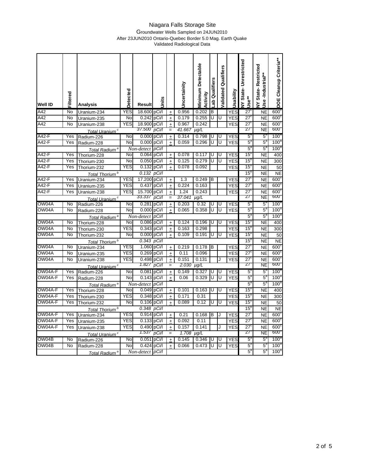#### Groundwater Wells Sampled on 24JUN2010 After 23JUN2010 Ontario-Quebec Border 5.0 Mag. Earth Quake

Validated Radiological Data

| <b>Well ID</b>                                                     | Filtered          | <b>Analysis</b>            | Detected       | Result         | <b>Units</b>     |                                  | Jncertainity   | <b>Minimum Detectable</b><br>Activity | ab Qualifiers | alidated Qualifiers | Jsability                | <b>VY State-Unrestricted</b><br>Use** | <b>VY State-Restricted</b><br>Jse-Industrial** | DOE Cleanup Criteria**          |
|--------------------------------------------------------------------|-------------------|----------------------------|----------------|----------------|------------------|----------------------------------|----------------|---------------------------------------|---------------|---------------------|--------------------------|---------------------------------------|------------------------------------------------|---------------------------------|
| $A\overline{42}$                                                   | No                | Uranium-234                | <b>YES</b>     | 18.600         | pCi/l            | $\ddot{}$                        | 0.956          | 0.202                                 | B             |                     | <b>YES</b>               | $27^\circ$                            | <b>NE</b>                                      | 600 <sup>6</sup>                |
| A42                                                                | $\overline{N}$    | Uranium-235                | $\overline{N}$ | 0.242          | pCi/l            | $\ddot{}$                        | 0.179          | 0.255                                 | U             | U                   | <b>YES</b>               | $\overline{27}$                       | <b>NE</b>                                      | 600 <sup>c</sup>                |
| $\overline{A42}$                                                   | $\overline{N}$    | Uranium-238                | YES            | 18.900         | pCi/l            | $\ddot{}$                        | 0.967          | 0.242                                 |               |                     | <b>YES</b>               | $\overline{27}$                       | NE                                             | 600 <sup>o</sup>                |
|                                                                    |                   | Total Uranium <sup>c</sup> |                | 37.500         | pCi/l            |                                  | 41.667         | $\mu q/L$                             |               |                     |                          | 27                                    | NE                                             | 600.                            |
| A42-F                                                              | Yes               | Radium-226                 | No             | 0.000          | pCi/l            | $\ddot{}$                        | 0.314          | 0.798                                 | U             | U                   | <b>YES</b>               | $5^{\circ}$                           | $5^{\circ}$                                    | 100 <sup>a</sup>                |
| A42-F                                                              | Yes               | Radium-228                 | No             | 0.000          | pCi/l            | $\ddot{}$                        | 0.059          | 0.296                                 | U             | U                   | <b>YES</b>               | $5^{\circ}$                           | $5^{\circ}$                                    | 100 <sup>a</sup>                |
|                                                                    |                   | Total Radium <sup>a</sup>  |                | Non-detect     | pCi/l            |                                  |                |                                       |               |                     |                          | 5                                     | $5^{\circ}$                                    | 100 <sup>8</sup>                |
| A42-F                                                              | Yes               | Thorium-228                | No             | 0.064          | pCi/l            | $\pmb{+}$                        | 0.078          | 0.117                                 | U             | U                   | <b>YES</b>               | 15                                    | NE                                             | 400                             |
| $A42-F$                                                            | Yes               | Thorium-230                | No             | 0.050          | pCi/l            | $\ddot{}$                        | 0.125          | 0.279                                 | Ū             | Ū                   | <b>YES</b>               | 15                                    | <b>NE</b>                                      | 300                             |
| A42-F                                                              | Yes               | Thorium-232                | YES            | $0.132$ pCi/l  |                  | $\ddot{}$                        | 0.078          | 0.092                                 |               |                     | <b>YES</b>               | 15                                    | <b>NE</b>                                      | 50                              |
|                                                                    |                   | Total Thorium <sup>b</sup> |                | 0.132          | pCi/l            |                                  |                |                                       |               |                     |                          | $\overline{15}$                       | <b>NE</b>                                      | <b>NE</b>                       |
| $A42-F$                                                            | Yes               | Uranium-234                | <b>YES</b>     | 17.200 pCi/l   |                  | $\begin{array}{c} + \end{array}$ | 1.3            | 0.249                                 | B             |                     | <b>YES</b>               | $\overline{27}$                       | <b>NE</b>                                      | 600 <sup>6</sup>                |
| $A42-F$                                                            | $\overline{Y}$ es | Uranium-235                | YES            | 0.437          | pCi/l            | $\pm$                            | 0.224          | 0.163                                 |               |                     | <b>YES</b>               | $\overline{27}$                       | <b>NE</b>                                      | 600 <sup>6</sup>                |
| A42-F                                                              | Yes               | Uranium-238                | YES            | 15.700 pCi/l   |                  | $\pm$                            | 1.24           | 0.243                                 |               |                     | <b>YES</b>               | $\overline{27}$                       | NE                                             | 600 <sup>6</sup>                |
|                                                                    |                   | Total Uranium <sup>c</sup> |                | 33.337         | pCi/l            |                                  | 37.041         | µg/L                                  |               |                     |                          | 27                                    | NE                                             | 600.                            |
| OW04A                                                              | No                | Radium-226                 | No             | 0.281          | pCi/l            | $\ddot{}$                        | 0.203          | 0.32                                  | U             | U                   | <b>YES</b>               | $5^\circ$                             | 5                                              | 100 <sup>o</sup>                |
| OW04A                                                              | <b>No</b>         | Radium-228                 | No             | 0.000          | pCi/l            | $\ddot{}$                        | 0.065          | 0.358                                 | U             | U                   | <b>YES</b>               | $5^{\circ}$                           | $5^{\circ}$                                    | 100 <sup>5</sup>                |
|                                                                    |                   | Total Radium <sup>a</sup>  |                | Non-detect     | pCi/l            |                                  |                |                                       |               |                     |                          | $5^{\circ}$                           | $5^{\circ}$                                    | 100 <sup>°</sup>                |
| OW04A                                                              | No                | Thorium-228                | $\overline{N}$ | 0.086          | pCi/l            | $\ddot{}$                        | 0.124          | 0.196                                 | U             | U                   | <b>YES</b>               | 15 <sup>t</sup>                       | <b>NE</b>                                      | 400                             |
| OW04A                                                              | $\overline{N}$    | Thorium-230                | YES            | 0.343          | pCi/l            | $\pm$                            | 0.163          | 0.298                                 |               |                     | <b>YES</b>               | 15 <sup>5</sup>                       | NE                                             | $\overline{300}$                |
| OW04A                                                              | No                | Thorium-232                | No             | 0.000          | pCi/l            | $\ddot{}$                        | 0.109          | 0.191                                 | U             | U                   | <b>YES</b>               | 15 <sup>t</sup>                       | <b>NE</b>                                      | 50                              |
|                                                                    |                   | Total Thorium <sup>b</sup> |                | 0.343          | pCi/l            |                                  |                |                                       |               |                     |                          | 15 <sup>1</sup>                       | NE                                             | <b>NE</b>                       |
| OW04A                                                              | No                | Uranium-234                | <b>YES</b>     | 1.060          | pCi/l            | $\pmb{+}$                        | 0.219          | 0.178                                 | в             |                     | <b>YES</b>               | 27                                    | <b>NE</b>                                      | $600^\circ$                     |
| OW04A                                                              | No                | Uranium-235                | YES            | 0.269          | pCi/l            | $\ddot{}$                        | 0.11           | 0.096                                 |               |                     | <b>YES</b>               | $\overline{27}$                       | NE                                             | 600 <sup>o</sup>                |
| OW04A                                                              | No                | Uranium-238                | YES            | 0.498<br>1.827 | pCi <sub>/</sub> | $\ddot{}$                        | 0.151          | 0.131                                 |               |                     | YES                      | $\overline{27}$<br>27                 | <b>NE</b>                                      | 600 <sup>o</sup><br><b>000.</b> |
| OW04A-F                                                            |                   | Total Uranium <sup>c</sup> | No             | 0.081          | pCi/l            | =                                | 2.030<br>0.149 | $\mu q/L$                             | ℧             | U                   |                          | 5°                                    | NE<br>5                                        | 100 <sup>a</sup>                |
| OW04A-F                                                            | Yes<br>Yes        | Radium-226                 | No             | 0.143          | pCi/l<br>pCi/l   | $\ddot{}$                        | 0.06           | 0.327<br>0.329                        | Ū             | Ū                   | <b>YES</b><br><b>YES</b> | $5^{\circ}$                           | $5^{\circ}$                                    | 100 <sup>5</sup>                |
|                                                                    |                   | Radium-228                 |                | Non-detect     | pCi/l            | $\ddot{}$                        |                |                                       |               |                     |                          | $5^{\circ}$                           | $5^{\circ}$                                    | 100 <sup>8</sup>                |
| OW04A-F                                                            | Yes               | Total Radium <sup>a</sup>  | No             | 0.049          | pCi/l            | $+$                              | 0.101          | 0.163                                 | U             | U                   | <b>YES</b>               | 15                                    | <b>NE</b>                                      | 400                             |
| OW04A-F                                                            | Yes               | Thorium-228<br>Thorium-230 | YES            | 0.348          | pCi/l            | $\ddot{}$                        | 0.171          | 0.31                                  |               |                     | <b>YES</b>               | 15 <sup>t</sup>                       | NE                                             | 300                             |
| OW04A-F                                                            | Yes               | Thorium-232                | No             | 0.106          | pCi/l            | $\ddot{}$                        | 0.089          | 0.12                                  | U             | U                   | <b>YES</b>               | 15                                    | <b>NE</b>                                      | 50                              |
|                                                                    |                   | Total Thorium <sup>b</sup> |                | 0.348          | pCi/l            |                                  |                |                                       |               |                     |                          | 15                                    | <b>NE</b>                                      | <b>NE</b>                       |
| OW04A-F                                                            | Yes               | Uranium-234                | <b>YES</b>     | 0.914 pCi/l    |                  | $\ddot{}$                        | 0.21           | 0.168                                 | B             |                     | <b>YES</b>               | $\overline{27}$                       | <b>NE</b>                                      | 600 <sup>6</sup>                |
| OW04A-F                                                            | Yes               | Uranium-235                | YES            | 0.133          | pCi/l            | $\ddot{}$                        | 0.092          | 0.11                                  |               |                     | <b>YES</b>               | 27'                                   | <b>NE</b>                                      | 600 <sup>6</sup>                |
| OW04A-F                                                            | Yes               | Uranium-238                | <b>YES</b>     | 0.490          | pCi/l            | $\ddot{}$                        | 0.157          | 0.141                                 |               |                     | <b>YES</b>               | $\overline{27}$                       | <b>NE</b>                                      | 600 <sup>6</sup>                |
| 1.537<br>pCi/l<br>1.708<br>$\mu$ g/L<br>Total Uranium <sup>c</sup> |                   |                            |                |                |                  |                                  |                |                                       | 27            | NE                  | ,000                     |                                       |                                                |                                 |
| OW04B                                                              | No                | Radium-226                 | No             | 0.051          | pCi/I            | $\ddot{}$                        | 0.145          | 0.346                                 | ΙU            | IU                  | <b>YES</b>               | $5^{\circ}$                           | $5^{\circ}$                                    | $100^4$                         |
| OW04B                                                              | No                | Radium-228                 | No             | 0.424          | pCi/l            | $\ddot{}$                        | 0.066          | 0.473                                 | Ū             | Ū                   | <b>YES</b>               | 5                                     | $5^{\circ}$                                    | 100 <sup>a</sup>                |
|                                                                    |                   | Total Radium <sup>a</sup>  |                | Non-detect     | pCi/l            |                                  |                |                                       |               |                     |                          | $5^{\circ}$                           | $5^{\circ}$                                    | 100 <sup>a</sup>                |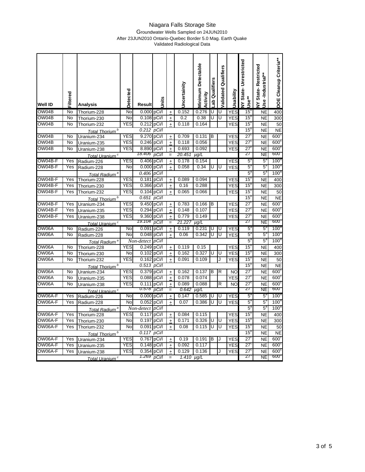### Groundwater Wells Sampled on 24JUN2010 After 23JUN2010 Ontario-Quebec Border 5.0 Mag. Earth Quake

Validated Radiological Data

| <b>Well ID</b> | Filtered | <b>Analysis</b>                           | Detected   | <b>Result</b>       | Units          |                                  | Uncertainity    | <b>Minimum Detectable</b><br>Activity | ab Qualifiers | alidated Qualifiers | Jsability  | <b>VY State-Unrestricted</b><br>Use** | <b>VY State-Restricted</b><br>Jse-Industrial | DOE Cleanup Criteria**   |
|----------------|----------|-------------------------------------------|------------|---------------------|----------------|----------------------------------|-----------------|---------------------------------------|---------------|---------------------|------------|---------------------------------------|----------------------------------------------|--------------------------|
| OWO4B          | No       | Thorium-228                               | No         | 0.000 pCi/l         |                | $\ddot{}$                        | 0.152           | 0.276                                 | U             | U                   | <b>YES</b> | 15                                    | <b>NE</b>                                    | 400                      |
| OW04B          | No       | Thorium-230                               | No         | 0.108 pCi/l         |                | $\pm$                            | 0.2             | 0.38                                  | Ū             | Ū                   | <b>YES</b> | 15                                    | <b>NE</b>                                    | 300                      |
| OW04B          | No       | Thorium-232                               | YES        | 0.212 pCi/l         |                | $\ddot{}$                        | 0.118           | 0.164                                 |               |                     | <b>YES</b> | 15 <sup>t</sup>                       | NE                                           | 50                       |
|                |          | Total Thorium <sup>b</sup>                |            | 0.212               | pCi/l          |                                  |                 |                                       |               |                     |            | 15                                    | <b>NE</b>                                    | <b>NE</b>                |
| OW04B          | No       | Uranium-234                               | <b>YES</b> | 9.270 pCi/l         |                | $\ddot{}$                        | 0.709           | 0.131                                 | в             |                     | <b>YES</b> | $\overline{27}$                       | NE                                           | 600 <sup>°</sup>         |
| OW04B          | No       | Uranium-235                               | <b>YES</b> | 0.246 pCi/l         |                | $\pm$                            | 0.118           | 0.056                                 |               |                     | <b>YES</b> | $\overline{27}$                       | <b>NE</b>                                    | 600 <sup>6</sup>         |
| OW04B          | No       | Uranium-238                               | <b>YES</b> | 8.890 pCi/l         |                | $\ddot{}$                        | 0.693           | 0.092                                 |               |                     | <b>YES</b> | $\overline{27}$                       | <b>NE</b>                                    | 600 <sup>6</sup>         |
|                |          | Total Uranium <sup>c</sup>                |            | 18.406              | pCi/l          |                                  | 20.451          | $\overline{\mu}$ g/L                  |               |                     |            | 27                                    | NE                                           | <b>000</b>               |
| OW04B-F        | Yes      | Radium-226                                | <b>YES</b> | 0.406 pCi/l         |                | $\ddot{}$                        | 0.178           | 0.154                                 |               |                     | <b>YES</b> | $5^{\circ}$                           | $5^{\circ}$                                  | 100 <sup>3</sup>         |
| OW04B-F        | Yes      | Radium-228                                | No         | 0.000               | pCi/l          | $\ddot{}$                        | 0.058           | 0.34                                  | U             | U                   | <b>YES</b> | $5^{\circ}$                           | $5^{\circ}$                                  | 100 <sup>3</sup>         |
|                |          | Total Radium <sup>a</sup>                 |            | 0.406               | pCi/l          |                                  |                 |                                       |               |                     |            | $5^{\circ}$                           | $5^{\circ}$                                  | 100 <sup>a</sup>         |
| OW04B-F        | Yes      | Thorium-228                               | <b>YES</b> | 0.181 pCi/l         |                | $\ddot{}$                        | 0.089           | 0.094                                 |               |                     | <b>YES</b> | 15                                    | <b>NE</b>                                    | 400                      |
| OW04B-F        | Yes      | Thorium-230                               | YES        | 0.366 pCi/l         |                | $\ddot{}$                        | 0.16            | 0.288                                 |               |                     | <b>YES</b> | 15                                    | <b>NE</b>                                    | 300                      |
| OW04B-F        | Yes      | Thorium-232                               | <b>YES</b> | 0.104 pCi/l         |                | $\ddot{}$                        | 0.065           | 0.066                                 |               |                     | <b>YES</b> | 15                                    | NE                                           | 50                       |
|                |          | Total Thorium <sup>b</sup>                |            | 0.651               | pCi/l          |                                  |                 |                                       |               |                     |            | 15                                    | <b>NE</b>                                    | <b>NE</b>                |
| OW04B-F        | Yes      | Uranium-234                               | <b>YES</b> | 9.450               | pCi/l          | $\ddot{}$                        | 0.783           | 0.166                                 | B             |                     | <b>YES</b> | $\overline{27}$                       | <b>NE</b>                                    | 600 <sup>6</sup>         |
| OW04B-F        | Yes      | Uranium-235                               | YES        | 0.294               | pCi/l          | $\ddot{}$                        | 0.148           | 0.107                                 |               |                     | <b>YES</b> | $\overline{27}$                       | <b>NE</b>                                    | 600 <sup>6</sup>         |
| OW04B-F        | Yes      | Uranium-238                               | YES        | 9.360<br>19.104     | pCi/l<br>pCi/l | $\ddot{}$                        | 0.779<br>21.227 | 0.149                                 |               |                     | <b>YES</b> | $\overline{27}$<br>27                 | <b>NE</b><br>NE                              | 600 <sup>6</sup><br>600. |
|                | No       | Total Uranium <sup>c</sup>                | No         |                     |                |                                  |                 | $\mu$ g/L                             | Ū             | Ū                   |            |                                       |                                              | 100 <sup>4</sup>         |
| OW06A<br>OW06A | No       | Radium-226                                | No         | 0.091<br>0.048      | pCi/l<br>pCi/l | $\pm$                            | 0.119<br>0.06   | 0.231<br>0.342                        | U             | U                   | <b>YES</b> | $5^{\circ}$<br>$5^{\circ}$            | $5^{\circ}$<br>$5^{\circ}$                   | 100 <sup>8</sup>         |
|                |          | Radium-228                                |            |                     | pCi/l          | $\ddot{}$                        |                 |                                       |               |                     | <b>YES</b> | 5                                     | $5^{\circ}$                                  | 100 <sup>5</sup>         |
| OW06A          | No       | Total Radium <sup>a</sup>                 | YES        | Non-detect<br>0.249 | pCi/l          | $+$                              | 0.119           | 0.15                                  |               |                     | <b>YES</b> | 15                                    |                                              |                          |
| OW06A          | No       | Thorium-228<br>Thorium-230                | No         | 0.102               | pCi/l          |                                  | 0.162           | 0.327                                 | U             | U                   | <b>YES</b> | 15                                    | NE<br>NE                                     | 400<br>300               |
| OW06A          | No       |                                           | YES        | $0.162$ pCi/l       |                | $\ddot{}$                        | 0.091           | 0.109                                 |               | J                   | <b>YES</b> | 15                                    | <b>NE</b>                                    | 50                       |
|                |          | Thorium-232                               |            | 0.513               | pCi/l          | $\ddot{}$                        |                 |                                       |               |                     |            | 15                                    | <b>NE</b>                                    | <b>NE</b>                |
| OW06A          | No       | Total Thorium <sup>b</sup><br>Uranium-234 | <b>YES</b> | 0.379 pCi/l         |                | $\ddot{}$                        | 0.162           | 0.137                                 | B             | R                   | <b>NO</b>  | $\overline{27}$                       | <b>NE</b>                                    | 600 <sup>o</sup>         |
| OW06A          | No       | Uranium-235                               | YES        | 0.088               | pCi/l          | $\ddot{}$                        | 0.078           | 0.074                                 |               |                     | YES        | $\overline{27}$                       | <b>NE</b>                                    | 600 <sup>o</sup>         |
| OW06A          | No       | Uranium-238                               | YES        | 0.111               | pCi/l          | $\ddot{}$                        | 0.089           | 0.088                                 |               | R                   | <b>NO</b>  | $\overline{27}$                       | NE                                           | 600 <sup>°</sup>         |
|                |          | Total Uranium <sup>c</sup>                |            | U.578               | pCi/l          | $=$                              | 0.642           | µg/L                                  |               |                     |            | 27                                    | NE                                           | <u>000</u>               |
| OW06A-F        | Yes      | Radium-226                                | No         | 0.000 pCi/l         |                | $\ddot{}$                        | 0.147           | 0.585                                 | U             | U                   | <b>YES</b> | 5                                     | 5                                            | $100^\circ$              |
| OW06A-F        | Yes      | Radium-228                                | No         | 0.052               | pCi/l          | $\ddot{}$                        | 0.07            | 0.386                                 | U             | U                   | <b>YES</b> | 5                                     | $5^{\circ}$                                  | 100 <sup>°</sup>         |
|                |          | Total Radium <sup>a</sup>                 |            | Non-detect          | pCi/l          |                                  |                 |                                       |               |                     |            | $5^{\circ}$                           | $5^{\circ}$                                  | 100 <sup>a</sup>         |
| OW06A-F        | Yes      | Thorium-228                               | YES        | 0.117               | pCi/l          | $\begin{array}{c} + \end{array}$ | 0.084           | 0.115                                 |               |                     | <b>YES</b> | 15                                    | <b>NE</b>                                    | 400                      |
| OW06A-F        | Yes      | Thorium-230                               | No         | 0.197               | pCi/l          | $\ddot{}$                        | 0.171           | 0.326                                 | U             | U                   | <b>YES</b> | 15 <sup>1</sup>                       | <b>NE</b>                                    | 300                      |
| OW06A-F        | Yes      | Thorium-232                               | No         | 0.091               | pCi/l          | $\ddot{}$                        | 0.08            | 0.115                                 | U             | U                   | <b>YES</b> | 15 <sup>1</sup>                       | <b>NE</b>                                    | 50                       |
|                |          | Total Thorium <sup>b</sup>                |            | 0.117               | pCi/l          |                                  |                 |                                       |               |                     |            | 15                                    | <b>NE</b>                                    | <b>NE</b>                |
| OW06A-F        | Yes      | Uranium-234                               | <b>YES</b> | 0.767               | pCi/l          | $\begin{array}{c} + \end{array}$ | 0.19            | 0.191                                 | В             | J                   | <b>YES</b> | $\overline{27}$                       | <b>NE</b>                                    | 600 <sup>c</sup>         |
| OW06A-F        | Yes      | Uranium-235                               | <b>YES</b> | 0.148               | pCi/l          | $\ddot{}$                        | 0.092           | 0.117                                 |               |                     | <b>YES</b> | 27                                    | <b>NE</b>                                    | $600^\circ$              |
| OW06A-F        | Yes      | Uranium-238                               | YES        | 0.354               | pCi/l          | $\ddot{}$                        | 0.129           | 0.136                                 |               |                     | YES        | $\overline{27}$                       | NE                                           | 600 <sup>c</sup>         |
|                |          | Total Uranium <sup>c</sup>                |            | 1.269 pCi/l         |                |                                  | 1.410 $\mu$ g/L |                                       |               |                     |            | 27                                    | NE                                           | 600 <sub>o</sub>         |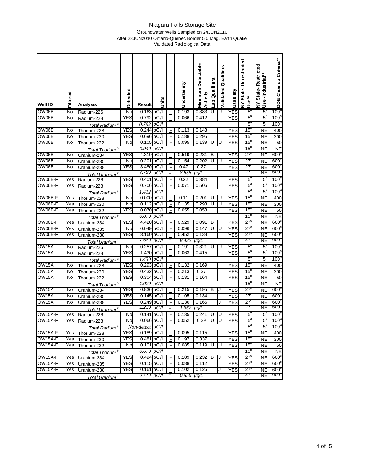#### Groundwater Wells Sampled on 24JUN2010 After 23JUN2010 Ontario-Quebec Border 5.0 Mag. Earth Quake Validated Radiological Data

| Well ID             | Filtered | Analysis                   | Detected   | Result           | <b>Units</b> |                                  | Jncertainity | <b>Vinimum Detectable</b><br>Activity | ab Qualifiers | Qualifiers<br>Validated | Usability  | NY State-Unrestricted<br>Use** | <b>VY State-Restricted</b><br>Use-Industrial** | DOE Cleanup Criteria** |
|---------------------|----------|----------------------------|------------|------------------|--------------|----------------------------------|--------------|---------------------------------------|---------------|-------------------------|------------|--------------------------------|------------------------------------------------|------------------------|
| OW06B               | No       | Radium-226                 | No         | 0.163 pCi/l      |              | $\ddot{}$                        | 0.193        | 0.383                                 | U             | U                       | <b>YES</b> | $5^{\circ}$                    | $5^{\circ}$                                    | 100 <sup>a</sup>       |
| OW06B               | No       | Radium-228                 | <b>YES</b> | 0.792            | pCi/l        | $\ddot{}$                        | 0.066        | 0.412                                 |               |                         | <b>YES</b> | $5^{\circ}$                    | $5^{\circ}$                                    | 100 <sup>a</sup>       |
|                     |          | Total Radium <sup>a</sup>  |            | 0.792            | pCi/l        |                                  |              |                                       |               |                         |            | $5^{\circ}$                    | $5^{\circ}$                                    | 100 <sup>a</sup>       |
| OW06B               | No       | Thorium-228                | YES        | 0.244            | pCi/l        | $\ddot{}$                        | 0.113        | 0.143                                 |               |                         | <b>YES</b> | 15 <sup>5</sup>                | <b>NE</b>                                      | 400                    |
| OW06B               | No       | Thorium-230                | YES        | 0.696            | pCi/l        | $\ddot{}$                        | 0.188        | 0.295                                 |               |                         | YES        | $15^5$                         | NE                                             | 300                    |
| OW06B               | No       | Thorium-232                | No         | 0.105            | pCi/l        | $\begin{array}{c} + \end{array}$ | 0.095        | 0.139                                 | U             | U                       | YES        | 15'                            | NE                                             | 50                     |
|                     |          | Total Thorium <sup>b</sup> |            | 0.940            | pCi/l        |                                  |              |                                       |               |                         |            | 15                             | NE                                             | <b>NE</b>              |
| OW06B               | No       | Uranium-234                | YES        | 4.310            | pCi/l        | +                                | 0.519        | 0.281                                 | B             |                         | <b>YES</b> | 27'                            | <b>NE</b>                                      | $600^{\circ}$          |
| OW06B               | No       | Uranium-235                | No         | 0.201            | pCi/l        | $\qquad \qquad +$                | 0.154        | 0.202                                 | U             | U                       | YES        | 27'                            | <b>NE</b>                                      | $600^\circ$            |
| OW06B               | No       | Uranium-238                | YES        | 3.480            | pCi/l        | ±                                | 0.47         | 0.27                                  |               |                         | <b>YES</b> | 27'                            | <b>NE</b>                                      | $600^\circ$            |
|                     |          | Total Uranium <sup>c</sup> |            | 7.790            | pCi/l        |                                  | 8.656        | $\mu g/L$                             |               |                         |            | 27                             | NE                                             | <b>600<sup>-</sup></b> |
| OW06B-F             | Yes      | Radium-226                 | <b>YES</b> | 0.401            | pCi/l        | $\ddot{}$                        | 0.22         | 0.384                                 |               |                         | YES        | 5                              | 5°                                             | 100 <sup>o</sup>       |
| OW06B-F             | Yes      | Radium-228                 | YES        | 0.706            | pCi/l        | $\ddot{}$                        | 0.071        | 0.506                                 |               |                         | YES        | $5^{\circ}$                    | $5^{\circ}$                                    | 100 <sup>a</sup>       |
|                     |          | Total Radium <sup>a</sup>  |            | 1.412            | pCi/l        |                                  |              |                                       |               |                         |            | 5                              | $5^{\circ}$                                    | 100 <sup>3</sup>       |
| OW06B-F             | Yes      | Thorium-228                | No         | 0.000            | pCi/l        | $\ddot{}$                        | 0.11         | 0.201                                 | U             | U                       | <b>YES</b> | 15                             | <b>NE</b>                                      | 400                    |
| OW06B-F             | Yes      | Thorium-230                | No         | 0.112            | pCi/l        | $\begin{array}{c} + \end{array}$ | 0.135        | 0.293                                 | U             | U                       | <b>YES</b> | 15'                            | <b>NE</b>                                      | 300                    |
| OW06B-F             | Yes      | Thorium-232                | YES        | 0.070            | pCi/l        | $\ddot{}$                        | 0.055        | 0.053                                 |               |                         | <b>YES</b> | $15^5$                         | <b>NE</b>                                      | 50                     |
|                     |          | Total Thorium <sup>b</sup> |            | 0.070            | pCi/l        |                                  |              |                                       |               |                         |            | 15                             | <b>NE</b>                                      | <b>NE</b>              |
| OW06B-F             | Yes      | Uranium-234                | <b>YES</b> | 4.420            | pCi/l        | $\begin{array}{c} + \end{array}$ | 0.529        | 0.091                                 | в             |                         | <b>YES</b> | 27'                            | <b>NE</b>                                      | 600 <sup>c</sup>       |
| OW06B-F             | Yes      | Uranium-235                | No         | 0.049            | pCi/l        | $\ddot{}$                        | 0.096        | 0.147                                 | U             | U                       | <b>YES</b> | 27'                            | NE                                             | $600^\circ$            |
| OW06B-F             | Yes      | Uranium-238                | YES        | 3.160            | pCi/l        | $\pm$                            | 0.452        | 0.138                                 |               |                         | YES        | 27'                            | NE                                             | 600 <sup>c</sup>       |
|                     |          | Total Uranium <sup>c</sup> |            | 7.580            | pCi/l        |                                  | 8.422        | $\mu g/L$                             |               |                         |            | 27                             | NE                                             | 600                    |
| OW15A               | No       | Radium-226                 | No         | 0.257            | pCi/l        | $\ddot{}$                        | 0.191        | 0.321                                 | U             | U                       | YES        | 5                              | 5°                                             | $100^\circ$            |
| OW15A               | No       | Radium-228                 | <b>YES</b> | 1.430            | pCi/l        | $\pm$                            | 0.063        | 0.415                                 |               |                         | <b>YES</b> | $5^{\circ}$                    | $5^{\circ}$                                    | 100 <sup>4</sup>       |
|                     |          | Total Radium <sup>a</sup>  |            | 1.430            | pCi/l        |                                  |              |                                       |               |                         |            | $5^{\circ}$                    | $5^{\circ}$                                    | 100 <sup>a</sup>       |
| OW15A               | No       | Thorium-228                | <b>YES</b> | 0.293            | pCi/l        | $\begin{array}{c} + \end{array}$ | 0.132        | 0.169                                 |               |                         | YES        | 15                             | <b>NE</b>                                      | 400                    |
| OW15A               | No       | Thorium-230                | YES        | 0.432            | pCi/l        | $\ddot{}$                        | 0.213        | 0.37                                  |               |                         | <b>YES</b> | $15^5$                         | <b>NE</b>                                      | 300                    |
| OW15A               | No       | Thorium-232                | YES        | 0.304            | pCi/l        | $\ddot{}$                        | 0.131        | 0.164                                 |               |                         | YES        | 15                             | NE                                             | 50                     |
|                     |          | Total Thorium <sup>b</sup> |            | 1.029            | pCi/l        |                                  |              |                                       |               |                         |            | $15^{\prime}$                  | <b>NE</b>                                      | NE                     |
| OW15A               | No       | Uranium-234                | YES        | 0.836            | pCi/l        | $\begin{array}{c} + \end{array}$ | 0.215        | 0.195                                 | в             | J                       | YES        | 27                             | <b>NE</b>                                      | $600^{\circ}$          |
| OW15A               | No       | Uranium-235                | YES        | 0.145            | pCi/l        | $\ddot{}$                        | 0.105        | 0.134                                 |               |                         | YES        | 27'                            | <b>NE</b>                                      | $600^\circ$            |
| OW15A               | No       | Uranium-238                | YES        | 0.249            | pCi/l        | $\ddot{}$                        | 0.136        | 0.166                                 |               | J                       | YES        | 27                             | <b>NE</b>                                      | $600^\circ$            |
|                     |          | Total Uranium <sup>c</sup> |            | 1.230            | pCi/l        |                                  | 1.367        | µg/L                                  |               |                         |            | 27                             | NE                                             | <b>600.</b>            |
| OW15A-F             | Yes      | Radium-226                 | No         | 0.141            | pCi/I        | +                                | 0.135        | 0.241                                 | U             | U                       | YES        | 5                              | $5^{\circ}$                                    | 100 <sup>a</sup>       |
| OW15A-F             | Yes      | Radium-228                 | No.        | $0.066$ pCi/l    |              | $\pm$                            | 0.052        | 0.29                                  | υ μ           |                         | YES        | 5                              | 5,                                             | $100^{\circ}$          |
|                     |          | Total Radium <sup>a</sup>  |            | Non-detect pCi/l |              |                                  |              |                                       |               |                         |            | $5^{\circ}$                    | $5^{\rm a}$                                    | 100 <sup>a</sup>       |
| OW <sub>15A-F</sub> | Yes      | Thorium-228                | <b>YES</b> | 0.189 pCi/l      |              | $\ddot{}$                        | 0.095        | 0.115                                 |               |                         | YES        | $15^5$                         | NE                                             | 400                    |
| OW15A-F             | Yes      | Thorium-230                | <b>YES</b> | 0.481 pCi/l      |              | $\ddot{}$                        | 0.197        | 0.337                                 |               |                         | <b>YES</b> | $15^{\circ}$                   | NE                                             | 300                    |
| OW15A-F             | Yes      | Thorium-232                | No         | $0.101$ pCi/l    |              | $\ddot{}$                        | 0.085        | 0.119                                 | IJ            | U                       | <b>YES</b> | 15 <sup>°</sup>                | <b>NE</b>                                      | 50                     |
|                     |          | Total Thorium <sup>b</sup> |            | 0.670 pCi/l      |              |                                  |              |                                       |               |                         |            | $15^{\circ}$                   | NE                                             | NE                     |
| OW15A-F             | Yes      | Uranium-234                | <b>YES</b> | 0.494 pCi/l      |              | $\ddot{}$                        | 0.189        | $0.232$ B                             |               | J                       | <b>YES</b> | 27 <sup>c</sup>                | <b>NE</b>                                      | $600^\circ$            |
| OW15A-F             | Yes      | Uranium-235                | <b>YES</b> | $0.115$ pCi/l    |              | $\pm$                            | 0.088        | 0.112                                 |               |                         | YES        | $27^{\circ}$                   | NE                                             | $600^\circ$            |
| OW15A-F             | Yes      | Uranium-238                | <b>YES</b> | $0.161$ pCi/l    |              | $\begin{array}{c} + \end{array}$ | 0.102        | 0.126                                 |               |                         | YES        | 27 <sup>c</sup>                | <b>NE</b>                                      | $600^\circ$            |
|                     |          | Total Uranium <sup>c</sup> |            | 0.770 pCi/l      |              | $=$                              | 0.856        | $\mu g/L$                             |               |                         |            | 27                             | <b>NE</b>                                      | 600 <sub>o</sub>       |